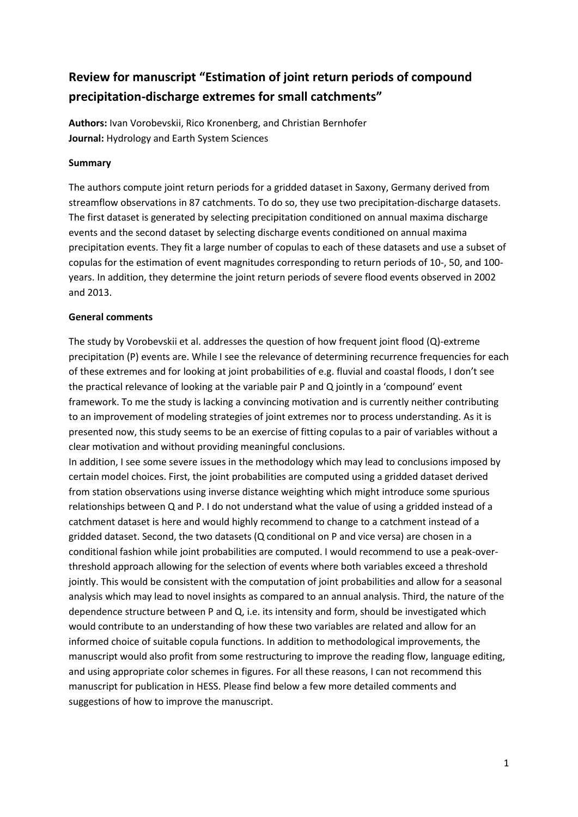# **Review for manuscript "Estimation of joint return periods of compound precipitation-discharge extremes for small catchments"**

**Authors:** Ivan Vorobevskii, Rico Kronenberg, and Christian Bernhofer **Journal:** Hydrology and Earth System Sciences

## **Summary**

The authors compute joint return periods for a gridded dataset in Saxony, Germany derived from streamflow observations in 87 catchments. To do so, they use two precipitation-discharge datasets. The first dataset is generated by selecting precipitation conditioned on annual maxima discharge events and the second dataset by selecting discharge events conditioned on annual maxima precipitation events. They fit a large number of copulas to each of these datasets and use a subset of copulas for the estimation of event magnitudes corresponding to return periods of 10-, 50, and 100 years. In addition, they determine the joint return periods of severe flood events observed in 2002 and 2013.

## **General comments**

The study by Vorobevskii et al. addresses the question of how frequent joint flood (Q)-extreme precipitation (P) events are. While I see the relevance of determining recurrence frequencies for each of these extremes and for looking at joint probabilities of e.g. fluvial and coastal floods, I don't see the practical relevance of looking at the variable pair P and Q jointly in a 'compound' event framework. To me the study is lacking a convincing motivation and is currently neither contributing to an improvement of modeling strategies of joint extremes nor to process understanding. As it is presented now, this study seems to be an exercise of fitting copulas to a pair of variables without a clear motivation and without providing meaningful conclusions.

In addition, I see some severe issues in the methodology which may lead to conclusions imposed by certain model choices. First, the joint probabilities are computed using a gridded dataset derived from station observations using inverse distance weighting which might introduce some spurious relationships between Q and P. I do not understand what the value of using a gridded instead of a catchment dataset is here and would highly recommend to change to a catchment instead of a gridded dataset. Second, the two datasets (Q conditional on P and vice versa) are chosen in a conditional fashion while joint probabilities are computed. I would recommend to use a peak-overthreshold approach allowing for the selection of events where both variables exceed a threshold jointly. This would be consistent with the computation of joint probabilities and allow for a seasonal analysis which may lead to novel insights as compared to an annual analysis. Third, the nature of the dependence structure between P and Q, i.e. its intensity and form, should be investigated which would contribute to an understanding of how these two variables are related and allow for an informed choice of suitable copula functions. In addition to methodological improvements, the manuscript would also profit from some restructuring to improve the reading flow, language editing, and using appropriate color schemes in figures. For all these reasons, I can not recommend this manuscript for publication in HESS. Please find below a few more detailed comments and suggestions of how to improve the manuscript.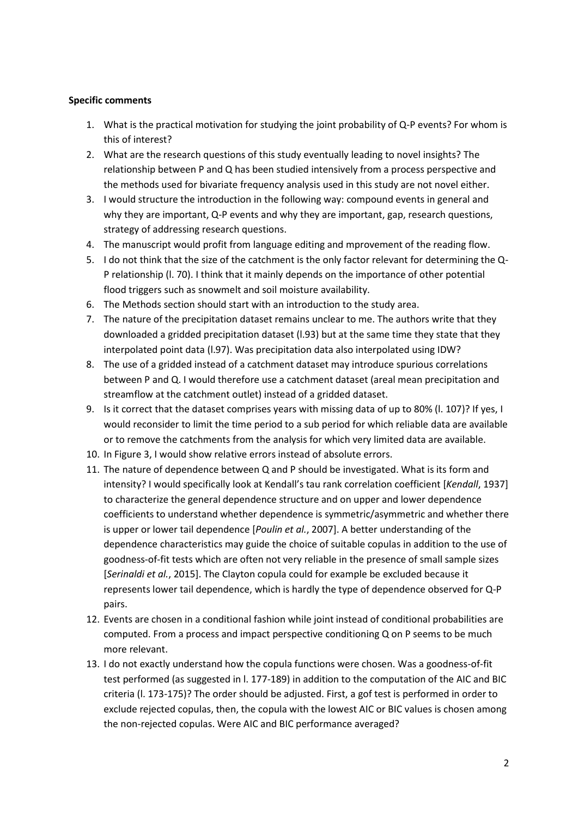### **Specific comments**

- 1. What is the practical motivation for studying the joint probability of Q-P events? For whom is this of interest?
- 2. What are the research questions of this study eventually leading to novel insights? The relationship between P and Q has been studied intensively from a process perspective and the methods used for bivariate frequency analysis used in this study are not novel either.
- 3. I would structure the introduction in the following way: compound events in general and why they are important, Q-P events and why they are important, gap, research questions, strategy of addressing research questions.
- 4. The manuscript would profit from language editing and mprovement of the reading flow.
- 5. I do not think that the size of the catchment is the only factor relevant for determining the Q-P relationship (l. 70). I think that it mainly depends on the importance of other potential flood triggers such as snowmelt and soil moisture availability.
- 6. The Methods section should start with an introduction to the study area.
- 7. The nature of the precipitation dataset remains unclear to me. The authors write that they downloaded a gridded precipitation dataset (l.93) but at the same time they state that they interpolated point data (l.97). Was precipitation data also interpolated using IDW?
- 8. The use of a gridded instead of a catchment dataset may introduce spurious correlations between P and Q. I would therefore use a catchment dataset (areal mean precipitation and streamflow at the catchment outlet) instead of a gridded dataset.
- 9. Is it correct that the dataset comprises years with missing data of up to 80% (l. 107)? If yes, I would reconsider to limit the time period to a sub period for which reliable data are available or to remove the catchments from the analysis for which very limited data are available.
- 10. In Figure 3, I would show relative errors instead of absolute errors.
- 11. The nature of dependence between Q and P should be investigated. What is its form and intensity? I would specifically look at Kendall's tau rank correlation coefficient [*Kendall*, 1937] to characterize the general dependence structure and on upper and lower dependence coefficients to understand whether dependence is symmetric/asymmetric and whether there is upper or lower tail dependence [*Poulin et al.*, 2007]. A better understanding of the dependence characteristics may guide the choice of suitable copulas in addition to the use of goodness-of-fit tests which are often not very reliable in the presence of small sample sizes [*Serinaldi et al.*, 2015]. The Clayton copula could for example be excluded because it represents lower tail dependence, which is hardly the type of dependence observed for Q-P pairs.
- 12. Events are chosen in a conditional fashion while joint instead of conditional probabilities are computed. From a process and impact perspective conditioning Q on P seems to be much more relevant.
- 13. I do not exactly understand how the copula functions were chosen. Was a goodness-of-fit test performed (as suggested in l. 177-189) in addition to the computation of the AIC and BIC criteria (l. 173-175)? The order should be adjusted. First, a gof test is performed in order to exclude rejected copulas, then, the copula with the lowest AIC or BIC values is chosen among the non-rejected copulas. Were AIC and BIC performance averaged?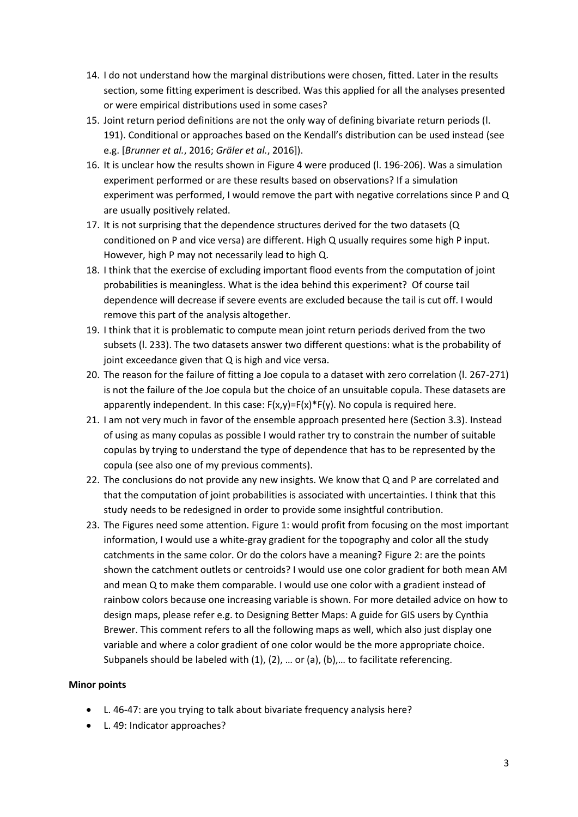- 14. I do not understand how the marginal distributions were chosen, fitted. Later in the results section, some fitting experiment is described. Was this applied for all the analyses presented or were empirical distributions used in some cases?
- 15. Joint return period definitions are not the only way of defining bivariate return periods (l. 191). Conditional or approaches based on the Kendall's distribution can be used instead (see e.g. [*Brunner et al.*, 2016; *Gräler et al.*, 2016]).
- 16. It is unclear how the results shown in Figure 4 were produced (l. 196-206). Was a simulation experiment performed or are these results based on observations? If a simulation experiment was performed, I would remove the part with negative correlations since P and Q are usually positively related.
- 17. It is not surprising that the dependence structures derived for the two datasets (Q conditioned on P and vice versa) are different. High Q usually requires some high P input. However, high P may not necessarily lead to high Q.
- 18. I think that the exercise of excluding important flood events from the computation of joint probabilities is meaningless. What is the idea behind this experiment? Of course tail dependence will decrease if severe events are excluded because the tail is cut off. I would remove this part of the analysis altogether.
- 19. I think that it is problematic to compute mean joint return periods derived from the two subsets (l. 233). The two datasets answer two different questions: what is the probability of joint exceedance given that Q is high and vice versa.
- 20. The reason for the failure of fitting a Joe copula to a dataset with zero correlation (l. 267-271) is not the failure of the Joe copula but the choice of an unsuitable copula. These datasets are apparently independent. In this case:  $F(x,y)=F(x)*F(y)$ . No copula is required here.
- 21. I am not very much in favor of the ensemble approach presented here (Section 3.3). Instead of using as many copulas as possible I would rather try to constrain the number of suitable copulas by trying to understand the type of dependence that has to be represented by the copula (see also one of my previous comments).
- 22. The conclusions do not provide any new insights. We know that Q and P are correlated and that the computation of joint probabilities is associated with uncertainties. I think that this study needs to be redesigned in order to provide some insightful contribution.
- 23. The Figures need some attention. Figure 1: would profit from focusing on the most important information, I would use a white-gray gradient for the topography and color all the study catchments in the same color. Or do the colors have a meaning? Figure 2: are the points shown the catchment outlets or centroids? I would use one color gradient for both mean AM and mean Q to make them comparable. I would use one color with a gradient instead of rainbow colors because one increasing variable is shown. For more detailed advice on how to design maps, please refer e.g. to Designing Better Maps: A guide for GIS users by Cynthia Brewer. This comment refers to all the following maps as well, which also just display one variable and where a color gradient of one color would be the more appropriate choice. Subpanels should be labeled with (1), (2), … or (a), (b),… to facilitate referencing.

## **Minor points**

- L. 46-47: are you trying to talk about bivariate frequency analysis here?
- L. 49: Indicator approaches?